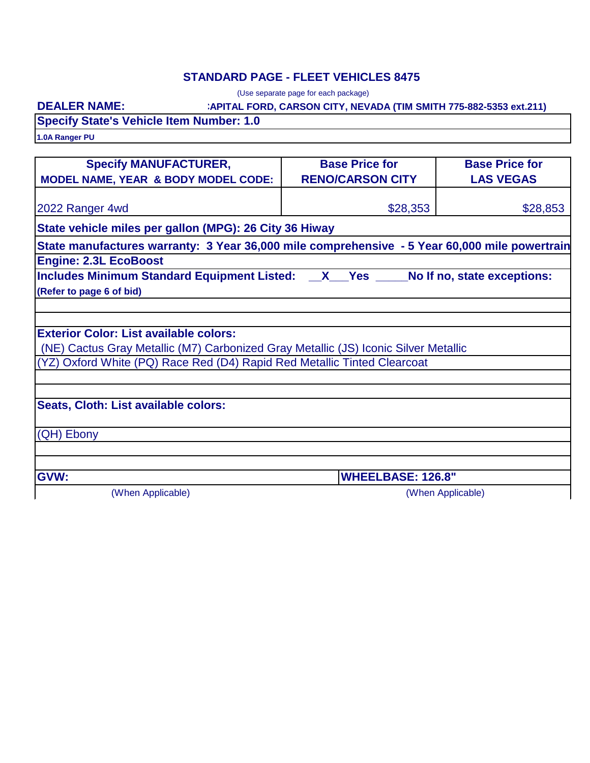### **STANDARD PAGE - FLEET VEHICLES 8475**

(Use separate page for each package)

#### **:APITAL FORD, CARSON CITY, NEVADA (TIM SMITH 775-882-5353 ext.211)**

**DEALER NAME:**

**Specify State's Vehicle Item Number: 1.0**

**1.0A Ranger PU**

| <b>Specify MANUFACTURER,</b>                                                                  | <b>Base Price for</b>    | <b>Base Price for</b> |
|-----------------------------------------------------------------------------------------------|--------------------------|-----------------------|
| <b>MODEL NAME, YEAR &amp; BODY MODEL CODE:</b>                                                | <b>RENO/CARSON CITY</b>  | <b>LAS VEGAS</b>      |
| 2022 Ranger 4wd                                                                               | \$28,353                 | \$28,853              |
| State vehicle miles per gallon (MPG): 26 City 36 Hiway                                        |                          |                       |
| State manufactures warranty: 3 Year 36,000 mile comprehensive - 5 Year 60,000 mile powertrain |                          |                       |
| <b>Engine: 2.3L EcoBoost</b>                                                                  |                          |                       |
| Includes Minimum Standard Equipment Listed: __X__Yes ____No If no, state exceptions:          |                          |                       |
| (Refer to page 6 of bid)                                                                      |                          |                       |
|                                                                                               |                          |                       |
|                                                                                               |                          |                       |
| <b>Exterior Color: List available colors:</b>                                                 |                          |                       |
| (NE) Cactus Gray Metallic (M7) Carbonized Gray Metallic (JS) Iconic Silver Metallic           |                          |                       |
| (YZ) Oxford White (PQ) Race Red (D4) Rapid Red Metallic Tinted Clearcoat                      |                          |                       |
|                                                                                               |                          |                       |
| Seats, Cloth: List available colors:                                                          |                          |                       |
|                                                                                               |                          |                       |
| (QH) Ebony                                                                                    |                          |                       |
|                                                                                               |                          |                       |
|                                                                                               |                          |                       |
| GVW:                                                                                          | <b>WHEELBASE: 126.8"</b> |                       |
| (When Applicable)                                                                             |                          | (When Applicable)     |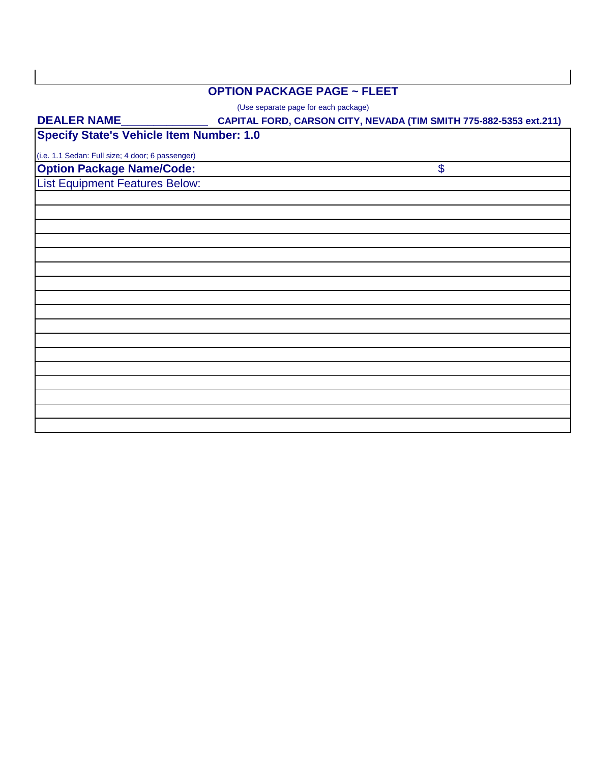# **OPTION PACKAGE PAGE ~ FLEET**

(Use separate page for each package)

| <b>DEALER NAME_</b>                              | CAPITAL FORD, CARSON CITY, NEVADA (TIM SMITH 775-882-5353 ext.211) |  |
|--------------------------------------------------|--------------------------------------------------------------------|--|
| <b>Specify State's Vehicle Item Number: 1.0</b>  |                                                                    |  |
| (i.e. 1.1 Sedan: Full size; 4 door; 6 passenger) |                                                                    |  |
| <b>Option Package Name/Code:</b>                 | \$                                                                 |  |
| <b>List Equipment Features Below:</b>            |                                                                    |  |
|                                                  |                                                                    |  |
|                                                  |                                                                    |  |
|                                                  |                                                                    |  |
|                                                  |                                                                    |  |
|                                                  |                                                                    |  |
|                                                  |                                                                    |  |
|                                                  |                                                                    |  |
|                                                  |                                                                    |  |
|                                                  |                                                                    |  |
|                                                  |                                                                    |  |
|                                                  |                                                                    |  |
|                                                  |                                                                    |  |
|                                                  |                                                                    |  |
|                                                  |                                                                    |  |
|                                                  |                                                                    |  |
|                                                  |                                                                    |  |
|                                                  |                                                                    |  |